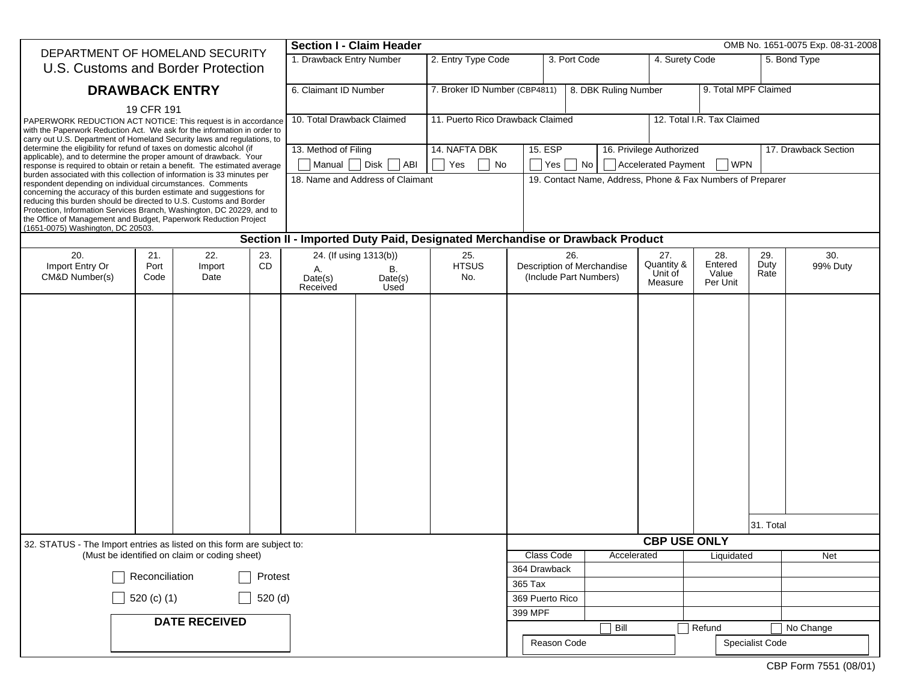| DEPARTMENT OF HOMELAND SECURITY                                                                                                                                                                                                                                                                                                                                                                                                                                                                                                                                                                                                                                                                 |                                                                  |  |                                                                              | <b>Section I - Claim Header</b>                            |                                  |                                                             |                                                            | OMB No. 1651-0075 Exp. 08-31-2008       |                                     |                                                 |                 |              |                      |  |
|-------------------------------------------------------------------------------------------------------------------------------------------------------------------------------------------------------------------------------------------------------------------------------------------------------------------------------------------------------------------------------------------------------------------------------------------------------------------------------------------------------------------------------------------------------------------------------------------------------------------------------------------------------------------------------------------------|------------------------------------------------------------------|--|------------------------------------------------------------------------------|------------------------------------------------------------|----------------------------------|-------------------------------------------------------------|------------------------------------------------------------|-----------------------------------------|-------------------------------------|-------------------------------------------------|-----------------|--------------|----------------------|--|
| U.S. Customs and Border Protection                                                                                                                                                                                                                                                                                                                                                                                                                                                                                                                                                                                                                                                              |                                                                  |  | 1. Drawback Entry Number                                                     |                                                            | 2. Entry Type Code               |                                                             | 3. Port Code                                               |                                         |                                     | 4. Surety Code                                  |                 | 5. Bond Type |                      |  |
| <b>DRAWBACK ENTRY</b><br>19 CFR 191<br>PAPERWORK REDUCTION ACT NOTICE: This request is in accordance<br>with the Paperwork Reduction Act. We ask for the information in order to<br>carry out U.S. Department of Homeland Security laws and regulations, to                                                                                                                                                                                                                                                                                                                                                                                                                                     |                                                                  |  | 6. Claimant ID Number                                                        |                                                            | 7. Broker ID Number (CBP4811)    |                                                             | 8. DBK Ruling Number                                       |                                         |                                     | 9. Total MPF Claimed                            |                 |              |                      |  |
|                                                                                                                                                                                                                                                                                                                                                                                                                                                                                                                                                                                                                                                                                                 |                                                                  |  | 10. Total Drawback Claimed                                                   |                                                            | 11. Puerto Rico Drawback Claimed |                                                             |                                                            |                                         |                                     | 12. Total I.R. Tax Claimed                      |                 |              |                      |  |
| determine the eligibility for refund of taxes on domestic alcohol (if<br>applicable), and to determine the proper amount of drawback. Your<br>response is required to obtain or retain a benefit. The estimated average<br>burden associated with this collection of information is 33 minutes per<br>respondent depending on individual circumstances. Comments<br>concerning the accuracy of this burden estimate and suggestions for<br>reducing this burden should be directed to U.S. Customs and Border<br>Protection, Information Services Branch, Washington, DC 20229, and to<br>the Office of Management and Budget, Paperwork Reduction Project<br>(1651-0075) Washington, DC 20503. |                                                                  |  |                                                                              | 13. Method of Filing<br>Manual Disk<br>$\vert$ $\vert$ ABI |                                  | 14. NAFTA DBK<br>Yes<br>$\overline{\phantom{a}}$ No         | 15. ESP<br>$ Yes $ $ No $                                  |                                         |                                     | 16. Privilege Authorized<br>Accelerated Payment | WPN             |              | 17. Drawback Section |  |
|                                                                                                                                                                                                                                                                                                                                                                                                                                                                                                                                                                                                                                                                                                 |                                                                  |  |                                                                              | 18. Name and Address of Claimant                           |                                  |                                                             | 19. Contact Name, Address, Phone & Fax Numbers of Preparer |                                         |                                     |                                                 |                 |              |                      |  |
| Section II - Imported Duty Paid, Designated Merchandise or Drawback Product                                                                                                                                                                                                                                                                                                                                                                                                                                                                                                                                                                                                                     |                                                                  |  |                                                                              |                                                            |                                  |                                                             |                                                            |                                         |                                     |                                                 |                 |              |                      |  |
| 20.<br>Import Entry Or<br>CM&D Number(s)                                                                                                                                                                                                                                                                                                                                                                                                                                                                                                                                                                                                                                                        | 22.<br>23.<br>21.<br><b>CD</b><br>Port<br>Import<br>Date<br>Code |  | 24. (If using 1313(b))<br>Α.<br>В.<br>Date(s)<br>Date(s)<br>Received<br>Used |                                                            | 25.<br><b>HTSUS</b><br>No.       | 26.<br>Description of Merchandise<br>(Include Part Numbers) |                                                            | 27.<br>Quantity &<br>Unit of<br>Measure | 28.<br>Entered<br>Value<br>Per Unit | 29.<br>Duty<br>Rate                             | 30.<br>99% Duty |              |                      |  |
|                                                                                                                                                                                                                                                                                                                                                                                                                                                                                                                                                                                                                                                                                                 |                                                                  |  |                                                                              |                                                            |                                  |                                                             |                                                            |                                         |                                     | <b>CBP USE ONLY</b>                             |                 | 31. Total    |                      |  |
| 32. STATUS - The Import entries as listed on this form are subject to:<br>(Must be identified on claim or coding sheet)                                                                                                                                                                                                                                                                                                                                                                                                                                                                                                                                                                         |                                                                  |  |                                                                              |                                                            |                                  |                                                             | Class Code<br>Accelerated<br>Liquidated                    |                                         |                                     |                                                 | Net             |              |                      |  |
| Reconciliation<br>Protest                                                                                                                                                                                                                                                                                                                                                                                                                                                                                                                                                                                                                                                                       |                                                                  |  |                                                                              |                                                            |                                  |                                                             | 364 Drawback                                               |                                         |                                     |                                                 |                 |              |                      |  |
|                                                                                                                                                                                                                                                                                                                                                                                                                                                                                                                                                                                                                                                                                                 |                                                                  |  |                                                                              |                                                            |                                  | 365 Tax                                                     |                                                            |                                         |                                     |                                                 |                 |              |                      |  |
| $\Box$ 520 (c) (1)<br>520 (d)                                                                                                                                                                                                                                                                                                                                                                                                                                                                                                                                                                                                                                                                   |                                                                  |  |                                                                              |                                                            |                                  |                                                             | 399 MPF                                                    | 369 Puerto Rico                         |                                     |                                                 |                 |              |                      |  |
| <b>DATE RECEIVED</b>                                                                                                                                                                                                                                                                                                                                                                                                                                                                                                                                                                                                                                                                            |                                                                  |  |                                                                              |                                                            |                                  |                                                             |                                                            | Bill                                    |                                     | Refund                                          |                 | No Change    |                      |  |
|                                                                                                                                                                                                                                                                                                                                                                                                                                                                                                                                                                                                                                                                                                 |                                                                  |  |                                                                              |                                                            |                                  |                                                             |                                                            | Reason Code<br>Specialist Code          |                                     |                                                 |                 |              |                      |  |